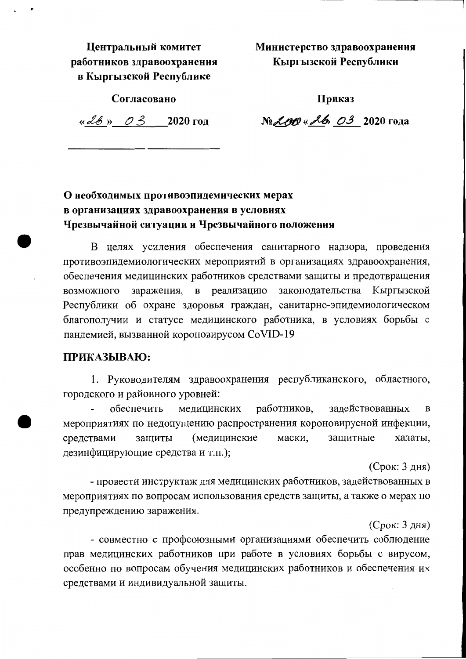Центральный комитет работников здравоохранения в Кыргызской Республике

Министерство здравоохранения Кыргызской Республики

Согласовано

Приказ

« $2020 \text{ год}$ 

№ *200* « 26, 03 2020 года

## О необходимых противоэпидемических мерах в организациях здравоохранения в условиях Чрезвычайной ситуации и Чрезвычайного положения

В целях усиления обеспечения санитарного надзора, проведения противоэпидемиологических мероприятий в организациях здравоохранения, обеспечения медицинских работников средствами защиты и предотвращения возможного заражения, в реализацию законодательства Кыргызской Республики об охране здоровья граждан, санитарно-эпидемиологическом благополучии и статусе медицинского работника, в условиях борьбы с пандемией, вызванной короновирусом CoVID-19

## ПРИКАЗЫВАЮ:

1. Руководителям здравоохранения республиканского, областного, городского и районного уровней:

работников, задействованных обеспечить медицинских  $\bf{B}$ мероприятиях по недопущению распространения короновирусной инфекции, средствами защиты (медицинские маски, защитные халаты, дезинфицирующие средства и т.п.);

(Срок: 3 дня)

- провести инструктаж для медицинских работников, задействованных в мероприятиях по вопросам использования средств защиты, а также о мерах по предупреждению заражения.

(Срок: 3 дня)

- совместно с профсоюзными организациями обеспечить соблюдение прав медицинских работников при работе в условиях борьбы с вирусом, особенно по вопросам обучения медицинских работников и обеспечения их средствами и индивидуальной защиты.